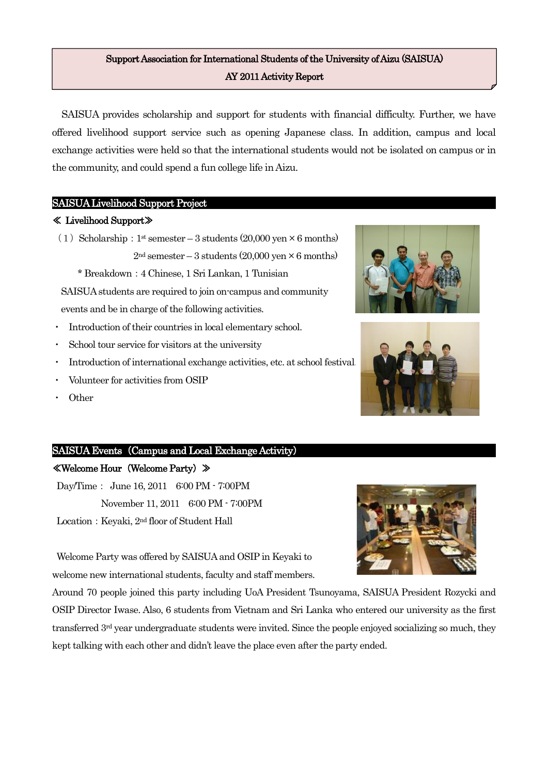## Support Association for International Students of the University of Aizu (SAISUA) AY 2011 Activity Report

SAISUA provides scholarship and support for students with financial difficulty. Further, we have offered livelihood support service such as opening Japanese class. In addition, campus and local exchange activities were held so that the international students would not be isolated on campus or in the community, and could spend a fun college life in Aizu.

### SAISUA Livelihood Support Project

#### ≪ Livelihood Support≫

(1) Scholarship:  $1^{\text{st}}$  semester – 3 students (20,000 yen  $\times$  6 months)  $2<sup>nd</sup>$  semester – 3 students (20,000 yen  $\times$  6 months)

\* Breakdown:4 Chinese, 1 Sri Lankan, 1 Tunisian

SAISUA students are required to join on-campus and community events and be in charge of the following activities.

- Introduction of their countries in local elementary school.
- School tour service for visitors at the university
- Introduction of international exchange activities, etc. at school festival.
- Volunteer for activities from OSIP
- **Other**

## SAISUA Events (Campus and Local Exchange Activity)

## ≪Welcome Hour(Welcome Party)≫

Day/Time: June 16, 2011 6:00 PM - 7:00PM November 11, 2011 6:00 PM - 7:00PM Location: Keyaki, 2<sup>nd</sup> floor of Student Hall

Welcome Party was offered by SAISUA and OSIP in Keyaki to welcome new international students, faculty and staff members.

Around 70 people joined this party including UoA President Tsunoyama, SAISUA President Rozycki and OSIP Director Iwase. Also, 6 students from Vietnam and Sri Lanka who entered our university as the first transferred 3rd year undergraduate students were invited. Since the people enjoyed socializing so much, they kept talking with each other and didn't leave the place even after the party ended.